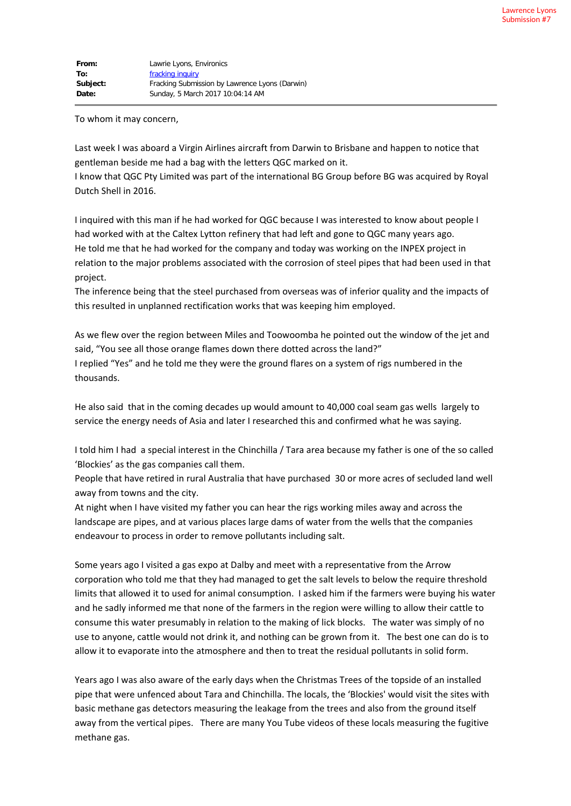To whom it may concern,

Last week I was aboard a Virgin Airlines aircraft from Darwin to Brisbane and happen to notice that gentleman beside me had a bag with the letters QGC marked on it.

I know that QGC Pty Limited was part of the international BG Group before BG was acquired by Royal Dutch Shell in 2016.

I inquired with this man if he had worked for QGC because I was interested to know about people I had worked with at the Caltex Lytton refinery that had left and gone to QGC many years ago. He told me that he had worked for the company and today was working on the INPEX project in relation to the major problems associated with the corrosion of steel pipes that had been used in that project.

The inference being that the steel purchased from overseas was of inferior quality and the impacts of this resulted in unplanned rectification works that was keeping him employed.

As we flew over the region between Miles and Toowoomba he pointed out the window of the jet and said, "You see all those orange flames down there dotted across the land?"

I replied "Yes" and he told me they were the ground flares on a system of rigs numbered in the thousands.

He also said that in the coming decades up would amount to 40,000 coal seam gas wells largely to service the energy needs of Asia and later I researched this and confirmed what he was saying.

I told him I had a special interest in the Chinchilla / Tara area because my father is one of the so called 'Blockies' as the gas companies call them.

People that have retired in rural Australia that have purchased 30 or more acres of secluded land well away from towns and the city.

At night when I have visited my father you can hear the rigs working miles away and across the landscape are pipes, and at various places large dams of water from the wells that the companies endeavour to process in order to remove pollutants including salt.

Some years ago I visited a gas expo at Dalby and meet with a representative from the Arrow corporation who told me that they had managed to get the salt levels to below the require threshold limits that allowed it to used for animal consumption. I asked him if the farmers were buying his water and he sadly informed me that none of the farmers in the region were willing to allow their cattle to consume this water presumably in relation to the making of lick blocks. The water was simply of no use to anyone, cattle would not drink it, and nothing can be grown from it. The best one can do is to allow it to evaporate into the atmosphere and then to treat the residual pollutants in solid form.

Years ago I was also aware of the early days when the Christmas Trees of the topside of an installed pipe that were unfenced about Tara and Chinchilla. The locals, the 'Blockies' would visit the sites with basic methane gas detectors measuring the leakage from the trees and also from the ground itself away from the vertical pipes. There are many You Tube videos of these locals measuring the fugitive methane gas.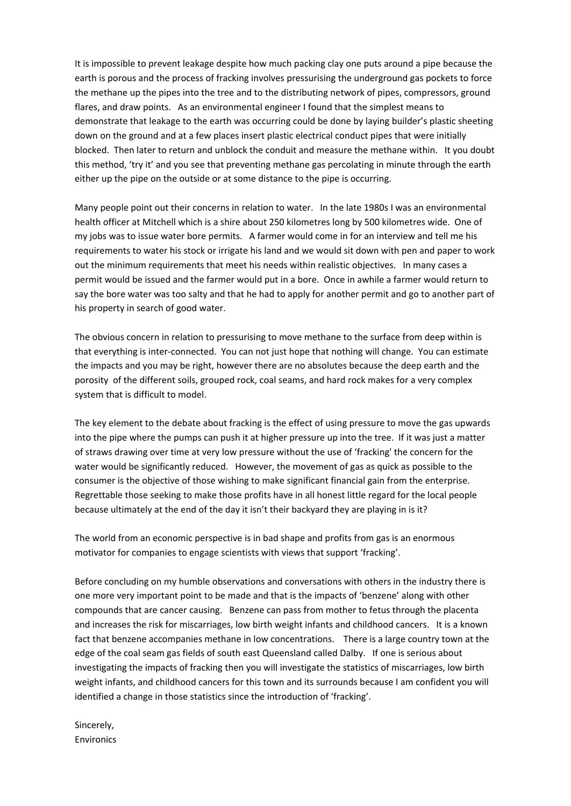It is impossible to prevent leakage despite how much packing clay one puts around a pipe because the earth is porous and the process of fracking involves pressurising the underground gas pockets to force the methane up the pipes into the tree and to the distributing network of pipes, compressors, ground flares, and draw points. As an environmental engineer I found that the simplest means to demonstrate that leakage to the earth was occurring could be done by laying builder's plastic sheeting down on the ground and at a few places insert plastic electrical conduct pipes that were initially blocked. Then later to return and unblock the conduit and measure the methane within. It you doubt this method, 'try it' and you see that preventing methane gas percolating in minute through the earth either up the pipe on the outside or at some distance to the pipe is occurring.

Many people point out their concerns in relation to water. In the late 1980s I was an environmental health officer at Mitchell which is a shire about 250 kilometres long by 500 kilometres wide. One of my jobs was to issue water bore permits. A farmer would come in for an interview and tell me his requirements to water his stock or irrigate his land and we would sit down with pen and paper to work out the minimum requirements that meet his needs within realistic objectives. In many cases a permit would be issued and the farmer would put in a bore. Once in awhile a farmer would return to say the bore water was too salty and that he had to apply for another permit and go to another part of his property in search of good water.

The obvious concern in relation to pressurising to move methane to the surface from deep within is that everything is inter-connected. You can not just hope that nothing will change. You can estimate the impacts and you may be right, however there are no absolutes because the deep earth and the porosity of the different soils, grouped rock, coal seams, and hard rock makes for a very complex system that is difficult to model.

The key element to the debate about fracking is the effect of using pressure to move the gas upwards into the pipe where the pumps can push it at higher pressure up into the tree. If it was just a matter of straws drawing over time at very low pressure without the use of 'fracking' the concern for the water would be significantly reduced. However, the movement of gas as quick as possible to the consumer is the objective of those wishing to make significant financial gain from the enterprise. Regrettable those seeking to make those profits have in all honest little regard for the local people because ultimately at the end of the day it isn't their backyard they are playing in is it?

The world from an economic perspective is in bad shape and profits from gas is an enormous motivator for companies to engage scientists with views that support 'fracking'.

Before concluding on my humble observations and conversations with others in the industry there is one more very important point to be made and that is the impacts of 'benzene' along with other compounds that are cancer causing. Benzene can pass from mother to fetus through the placenta and increases the risk for miscarriages, low birth weight infants and childhood cancers. It is a known fact that benzene accompanies methane in low concentrations. There is a large country town at the edge of the coal seam gas fields of south east Queensland called Dalby. If one is serious about investigating the impacts of fracking then you will investigate the statistics of miscarriages, low birth weight infants, and childhood cancers for this town and its surrounds because I am confident you will identified a change in those statistics since the introduction of 'fracking'.

Sincerely, Environics